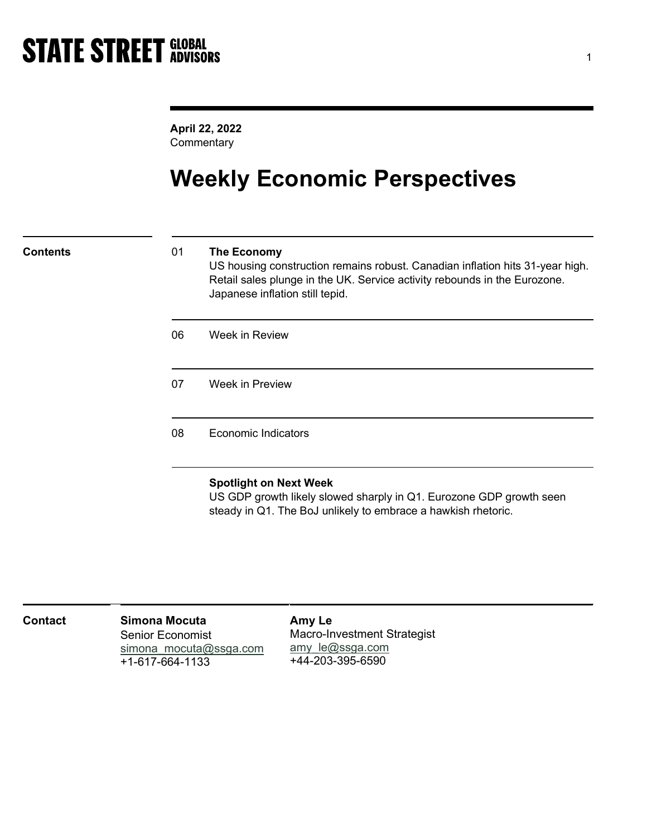April 22, 2022 **Commentary** 

# Weekly Economic Perspectives

### Contents 01 The Economy

US housing construction remains robust. Canadian inflation hits 31-year high. Retail sales plunge in the UK. Service activity rebounds in the Eurozone. Japanese inflation still tepid.

06 Week in Review

07 Week in Preview

08 Economic Indicators

### Spotlight on Next Week

US GDP growth likely slowed sharply in Q1. Eurozone GDP growth seen steady in Q1. The BoJ unlikely to embrace a hawkish rhetoric.

| <b>Contact</b> | Simona Mocuta<br><b>Senior Economist</b><br>simona mocuta@ssga.com<br>+1-617-664-1133 | Amy Le<br><b>Macro-Investment Strategist</b><br>amy $le@ssga.com$<br>+44-203-395-6590 |  |
|----------------|---------------------------------------------------------------------------------------|---------------------------------------------------------------------------------------|--|
|----------------|---------------------------------------------------------------------------------------|---------------------------------------------------------------------------------------|--|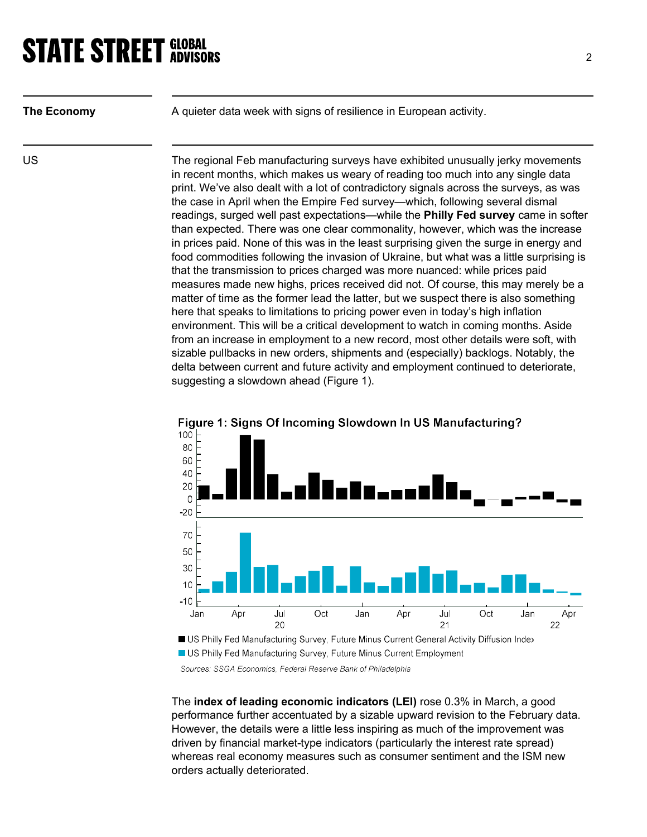| The Economy |  |
|-------------|--|
|             |  |

A quieter data week with signs of resilience in European activity.

US The regional Feb manufacturing surveys have exhibited unusually jerky movements in recent months, which makes us weary of reading too much into any single data print. We've also dealt with a lot of contradictory signals across the surveys, as was the case in April when the Empire Fed survey—which, following several dismal readings, surged well past expectations—while the Philly Fed survey came in softer than expected. There was one clear commonality, however, which was the increase in prices paid. None of this was in the least surprising given the surge in energy and food commodities following the invasion of Ukraine, but what was a little surprising is that the transmission to prices charged was more nuanced: while prices paid measures made new highs, prices received did not. Of course, this may merely be a matter of time as the former lead the latter, but we suspect there is also something here that speaks to limitations to pricing power even in today's high inflation environment. This will be a critical development to watch in coming months. Aside from an increase in employment to a new record, most other details were soft, with sizable pullbacks in new orders, shipments and (especially) backlogs. Notably, the delta between current and future activity and employment continued to deteriorate, suggesting a slowdown ahead (Figure 1).



Figure 1: Signs Of Incoming Slowdown In US Manufacturing?

Sources: SSGA Economics, Federal Reserve Bank of Philadelphia

The index of leading economic indicators (LEI) rose 0.3% in March, a good performance further accentuated by a sizable upward revision to the February data. However, the details were a little less inspiring as much of the improvement was driven by financial market-type indicators (particularly the interest rate spread) whereas real economy measures such as consumer sentiment and the ISM new orders actually deteriorated.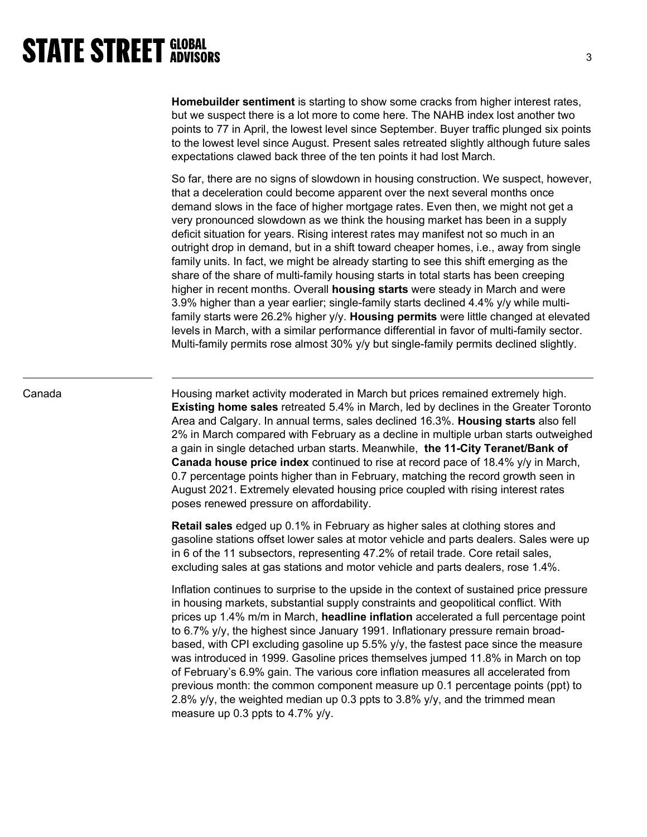Homebuilder sentiment is starting to show some cracks from higher interest rates, but we suspect there is a lot more to come here. The NAHB index lost another two points to 77 in April, the lowest level since September. Buyer traffic plunged six points to the lowest level since August. Present sales retreated slightly although future sales expectations clawed back three of the ten points it had lost March.

So far, there are no signs of slowdown in housing construction. We suspect, however, that a deceleration could become apparent over the next several months once demand slows in the face of higher mortgage rates. Even then, we might not get a very pronounced slowdown as we think the housing market has been in a supply deficit situation for years. Rising interest rates may manifest not so much in an outright drop in demand, but in a shift toward cheaper homes, i.e., away from single family units. In fact, we might be already starting to see this shift emerging as the share of the share of multi-family housing starts in total starts has been creeping higher in recent months. Overall housing starts were steady in March and were 3.9% higher than a year earlier; single-family starts declined 4.4% y/y while multifamily starts were 26.2% higher y/y. Housing permits were little changed at elevated levels in March, with a similar performance differential in favor of multi-family sector. Multi-family permits rose almost 30% y/y but single-family permits declined slightly.

Canada **Exteed Housing market activity moderated in March but prices remained extremely high.** Existing home sales retreated 5.4% in March, led by declines in the Greater Toronto Area and Calgary. In annual terms, sales declined 16.3%. Housing starts also fell 2% in March compared with February as a decline in multiple urban starts outweighed a gain in single detached urban starts. Meanwhile, the 11-City Teranet/Bank of Canada house price index continued to rise at record pace of 18.4% y/y in March, 0.7 percentage points higher than in February, matching the record growth seen in August 2021. Extremely elevated housing price coupled with rising interest rates poses renewed pressure on affordability.

> Retail sales edged up 0.1% in February as higher sales at clothing stores and gasoline stations offset lower sales at motor vehicle and parts dealers. Sales were up in 6 of the 11 subsectors, representing 47.2% of retail trade. Core retail sales, excluding sales at gas stations and motor vehicle and parts dealers, rose 1.4%.

> Inflation continues to surprise to the upside in the context of sustained price pressure in housing markets, substantial supply constraints and geopolitical conflict. With prices up 1.4% m/m in March, headline inflation accelerated a full percentage point to 6.7% y/y, the highest since January 1991. Inflationary pressure remain broadbased, with CPI excluding gasoline up 5.5% y/y, the fastest pace since the measure was introduced in 1999. Gasoline prices themselves jumped 11.8% in March on top of February's 6.9% gain. The various core inflation measures all accelerated from previous month: the common component measure up 0.1 percentage points (ppt) to 2.8% y/y, the weighted median up 0.3 ppts to 3.8% y/y, and the trimmed mean measure up 0.3 ppts to 4.7% y/y.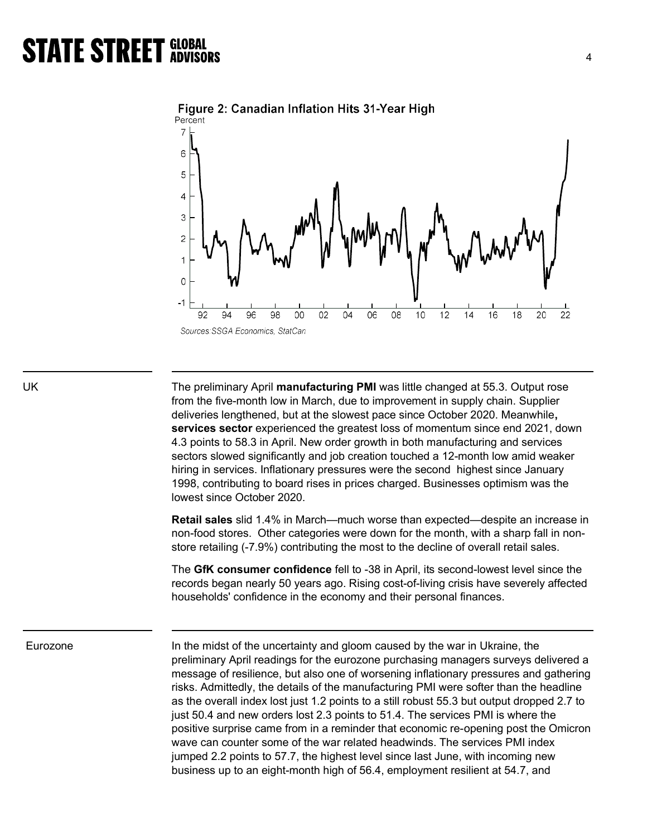



UK The preliminary April manufacturing PMI was little changed at 55.3. Output rose from the five-month low in March, due to improvement in supply chain. Supplier deliveries lengthened, but at the slowest pace since October 2020. Meanwhile, services sector experienced the greatest loss of momentum since end 2021, down 4.3 points to 58.3 in April. New order growth in both manufacturing and services sectors slowed significantly and job creation touched a 12-month low amid weaker hiring in services. Inflationary pressures were the second highest since January 1998, contributing to board rises in prices charged. Businesses optimism was the lowest since October 2020.

> Retail sales slid 1.4% in March—much worse than expected—despite an increase in non-food stores. Other categories were down for the month, with a sharp fall in nonstore retailing (-7.9%) contributing the most to the decline of overall retail sales.

> The GfK consumer confidence fell to -38 in April, its second-lowest level since the records began nearly 50 years ago. Rising cost-of-living crisis have severely affected households' confidence in the economy and their personal finances.

Eurozone **In the midst of the uncertainty and gloom** caused by the war in Ukraine, the preliminary April readings for the eurozone purchasing managers surveys delivered a message of resilience, but also one of worsening inflationary pressures and gathering risks. Admittedly, the details of the manufacturing PMI were softer than the headline as the overall index lost just 1.2 points to a still robust 55.3 but output dropped 2.7 to just 50.4 and new orders lost 2.3 points to 51.4. The services PMI is where the positive surprise came from in a reminder that economic re-opening post the Omicron wave can counter some of the war related headwinds. The services PMI index jumped 2.2 points to 57.7, the highest level since last June, with incoming new business up to an eight-month high of 56.4, employment resilient at 54.7, and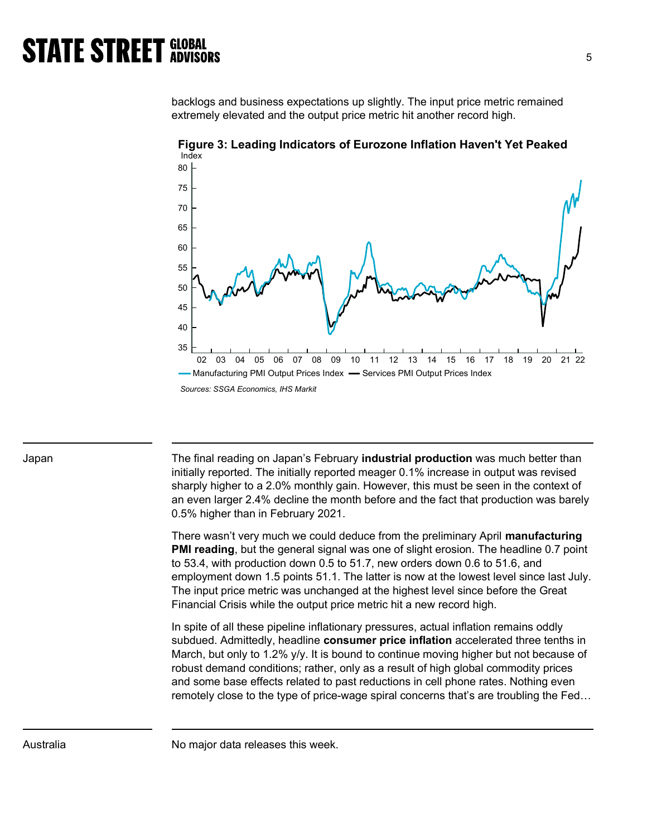backlogs and business expectations up slightly. The input price metric remained extremely elevated and the output price metric hit another record high.



Figure 3: Leading Indicators of Eurozone Inflation Haven't Yet Peaked

Japan The final reading on Japan's February **industrial production** was much better than initially reported. The initially reported meager 0.1% increase in output was revised sharply higher to a 2.0% monthly gain. However, this must be seen in the context of an even larger 2.4% decline the month before and the fact that production was barely 0.5% higher than in February 2021.

> There wasn't very much we could deduce from the preliminary April manufacturing **PMI reading**, but the general signal was one of slight erosion. The headline 0.7 point to 53.4, with production down 0.5 to 51.7, new orders down 0.6 to 51.6, and employment down 1.5 points 51.1. The latter is now at the lowest level since last July. The input price metric was unchanged at the highest level since before the Great Financial Crisis while the output price metric hit a new record high.

> In spite of all these pipeline inflationary pressures, actual inflation remains oddly subdued. Admittedly, headline consumer price inflation accelerated three tenths in March, but only to 1.2% y/y. It is bound to continue moving higher but not because of robust demand conditions; rather, only as a result of high global commodity prices and some base effects related to past reductions in cell phone rates. Nothing even remotely close to the type of price-wage spiral concerns that's are troubling the Fed…

Australia Momajor data releases this week.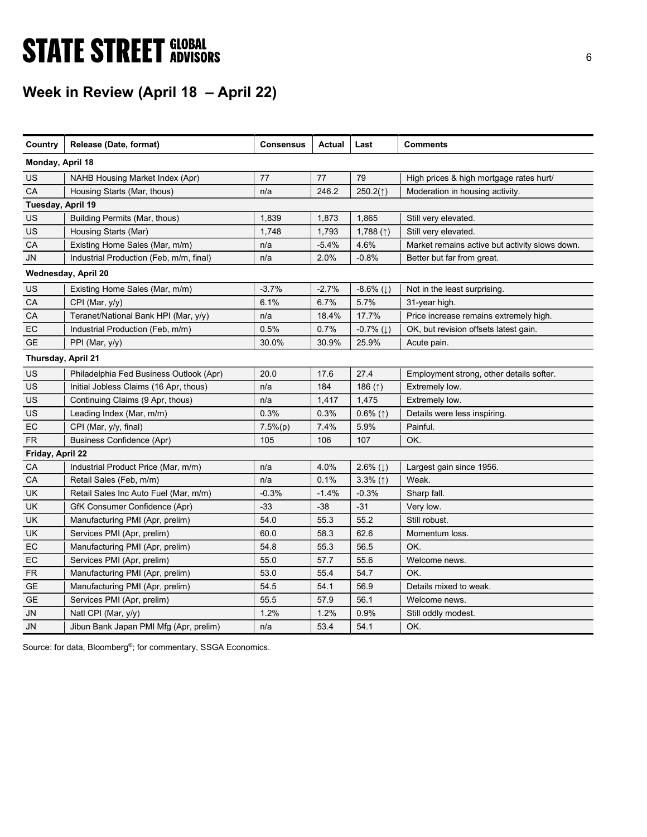# **STATE STREET GLOBAL STATE STREET GLOBAL**

# Week in Review (April 18 – April 22)

| Country            | Release (Date, format)                  | <b>Consensus</b> | Actual  | Last                      | <b>Comments</b>                                |
|--------------------|-----------------------------------------|------------------|---------|---------------------------|------------------------------------------------|
| Monday, April 18   |                                         |                  |         |                           |                                                |
| US                 | NAHB Housing Market Index (Apr)         | 77               | 77      | 79                        | High prices & high mortgage rates hurt/        |
|                    |                                         |                  |         |                           |                                                |
| CA                 | Housing Starts (Mar, thous)             | n/a              | 246.2   | 250.2(1)                  | Moderation in housing activity.                |
| Tuesday, April 19  |                                         |                  |         |                           |                                                |
| US                 | Building Permits (Mar, thous)           | 1,839            | 1,873   | 1,865                     | Still very elevated.                           |
| US                 | Housing Starts (Mar)                    | 1,748            | 1,793   | 1,788 $($ $\uparrow$ )    | Still very elevated.                           |
| CA                 | Existing Home Sales (Mar, m/m)          | n/a              | $-5.4%$ | 4.6%                      | Market remains active but activity slows down. |
| <b>JN</b>          | Industrial Production (Feb, m/m, final) | n/a              | 2.0%    | $-0.8%$                   | Better but far from great.                     |
|                    | Wednesday, April 20                     |                  |         |                           |                                                |
| US                 | Existing Home Sales (Mar, m/m)          | $-3.7%$          | $-2.7%$ | $-8.6\%$ ( $\downarrow$ ) | Not in the least surprising.                   |
| CA                 | CPI (Mar, y/y)                          | 6.1%             | 6.7%    | 5.7%                      | 31-year high.                                  |
| CA                 | Teranet/National Bank HPI (Mar, y/y)    | n/a              | 18.4%   | 17.7%                     | Price increase remains extremely high.         |
| EC                 | Industrial Production (Feb, m/m)        | 0.5%             | 0.7%    | $-0.7%$ ( $\downarrow$ )  | OK, but revision offsets latest gain.          |
| <b>GE</b>          | PPI (Mar, $y/y$ )                       | 30.0%            | 30.9%   | 25.9%                     | Acute pain.                                    |
| Thursday, April 21 |                                         |                  |         |                           |                                                |
| US                 | Philadelphia Fed Business Outlook (Apr) | 20.0             | 17.6    | 27.4                      | Employment strong, other details softer.       |
| US                 | Initial Jobless Claims (16 Apr, thous)  | n/a              | 184     | 186 $($ 1)                | Extremely low.                                 |
| US                 | Continuing Claims (9 Apr, thous)        | n/a              | 1,417   | 1,475                     | Extremely low.                                 |
| US                 | Leading Index (Mar, m/m)                | 0.3%             | 0.3%    | $0.6\%$ (1)               | Details were less inspiring.                   |
| EC                 | CPI (Mar, y/y, final)                   | $7.5\%(p)$       | 7.4%    | 5.9%                      | Painful.                                       |
| <b>FR</b>          | <b>Business Confidence (Apr)</b>        | 105              | 106     | 107                       | OK.                                            |
| Friday, April 22   |                                         |                  |         |                           |                                                |
| CA                 | Industrial Product Price (Mar, m/m)     | n/a              | 4.0%    | 2.6% $(1)$                | Largest gain since 1956.                       |
| CA                 | Retail Sales (Feb, m/m)                 | n/a              | 0.1%    | $3.3\%$ (1)               | Weak.                                          |
| <b>UK</b>          | Retail Sales Inc Auto Fuel (Mar, m/m)   | $-0.3%$          | $-1.4%$ | $-0.3%$                   | Sharp fall.                                    |
| <b>UK</b>          | GfK Consumer Confidence (Apr)           | $-33$            | $-38$   | $-31$                     | Very low.                                      |
| UK                 | Manufacturing PMI (Apr, prelim)         | 54.0             | 55.3    | 55.2                      | Still robust.                                  |
| <b>UK</b>          | Services PMI (Apr, prelim)              | 60.0             | 58.3    | 62.6                      | Momentum loss.                                 |
| EC                 | Manufacturing PMI (Apr, prelim)         | 54.8             | 55.3    | 56.5                      | OK.                                            |
| EC                 | Services PMI (Apr, prelim)              | 55.0             | 57.7    | 55.6                      | Welcome news.                                  |
| ${\sf FR}$         | Manufacturing PMI (Apr, prelim)         | 53.0             | 55.4    | 54.7                      | OK.                                            |
| <b>GE</b>          | Manufacturing PMI (Apr, prelim)         | 54.5             | 54.1    | 56.9                      | Details mixed to weak.                         |
| <b>GE</b>          | Services PMI (Apr, prelim)              | 55.5             | 57.9    | 56.1                      | Welcome news.                                  |
| JN                 | Natl CPI (Mar, y/y)                     | 1.2%             | 1.2%    | 0.9%                      | Still oddly modest.                            |
| JN                 | Jibun Bank Japan PMI Mfg (Apr, prelim)  | n/a              | 53.4    | 54.1                      | OK.                                            |

Source: for data, Bloomberg<sup>®</sup>; for commentary, SSGA Economics.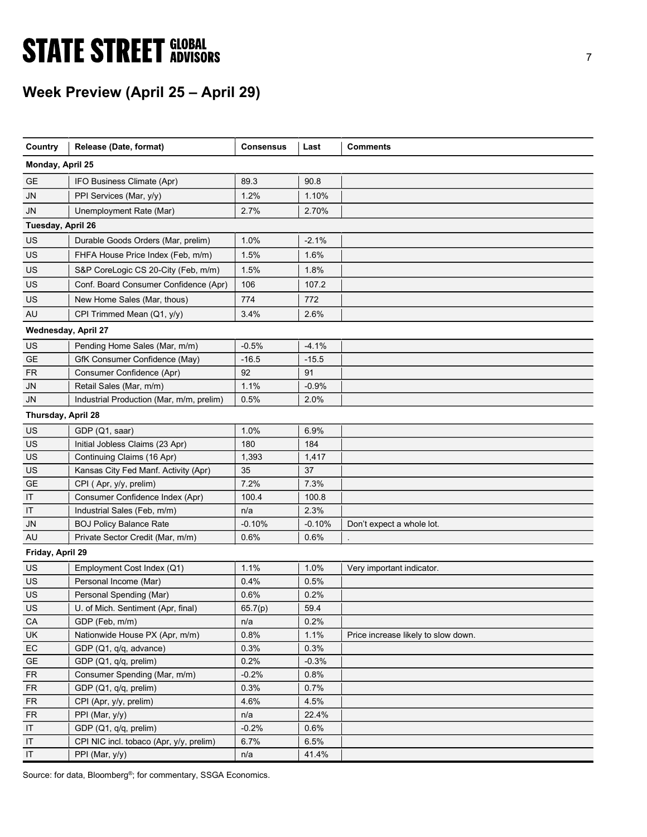# **STATE STREET GLOBAL STATE STREET GLOBAL**

# Week Preview (April 25 – April 29)

| Country                    | Release (Date, format)                   | <b>Consensus</b> | Last     | <b>Comments</b>                     |
|----------------------------|------------------------------------------|------------------|----------|-------------------------------------|
| Monday, April 25           |                                          |                  |          |                                     |
| GE                         | IFO Business Climate (Apr)               | 89.3             | 90.8     |                                     |
| JN                         | PPI Services (Mar, y/y)                  | 1.2%             | 1.10%    |                                     |
| <b>JN</b>                  | Unemployment Rate (Mar)                  | 2.7%             | 2.70%    |                                     |
| Tuesday, April 26          |                                          |                  |          |                                     |
| US                         | Durable Goods Orders (Mar, prelim)       | 1.0%             | $-2.1%$  |                                     |
| US                         | FHFA House Price Index (Feb, m/m)        | 1.5%             | 1.6%     |                                     |
| US                         | S&P CoreLogic CS 20-City (Feb, m/m)      | 1.5%             | 1.8%     |                                     |
| US                         | Conf. Board Consumer Confidence (Apr)    | 106              | 107.2    |                                     |
| US                         | New Home Sales (Mar, thous)              | 774              | 772      |                                     |
| AU                         | CPI Trimmed Mean (Q1, y/y)               | 3.4%             | 2.6%     |                                     |
| <b>Wednesday, April 27</b> |                                          |                  |          |                                     |
| US                         | Pending Home Sales (Mar, m/m)            | $-0.5%$          | $-4.1%$  |                                     |
| GE                         | GfK Consumer Confidence (May)            | $-16.5$          | $-15.5$  |                                     |
| <b>FR</b>                  | Consumer Confidence (Apr)                | 92               | 91       |                                     |
| JN                         | Retail Sales (Mar, m/m)                  | 1.1%             | $-0.9%$  |                                     |
| <b>JN</b>                  | Industrial Production (Mar, m/m, prelim) | 0.5%             | 2.0%     |                                     |
| Thursday, April 28         |                                          |                  |          |                                     |
| US                         | GDP (Q1, saar)                           | 1.0%             | 6.9%     |                                     |
| US                         | Initial Jobless Claims (23 Apr)          | 180              | 184      |                                     |
| US                         | Continuing Claims (16 Apr)               | 1,393            | 1,417    |                                     |
| US                         | Kansas City Fed Manf. Activity (Apr)     | 35               | 37       |                                     |
| <b>GE</b>                  | CPI (Apr, y/y, prelim)                   | 7.2%             | 7.3%     |                                     |
| IT                         | Consumer Confidence Index (Apr)          | 100.4            | 100.8    |                                     |
| $\mathsf{I}\mathsf{T}$     | Industrial Sales (Feb, m/m)              | n/a              | 2.3%     |                                     |
| JN                         | <b>BOJ Policy Balance Rate</b>           | $-0.10%$         | $-0.10%$ | Don't expect a whole lot.           |
| AU                         | Private Sector Credit (Mar, m/m)         | 0.6%             | $0.6\%$  |                                     |
| Friday, April 29           |                                          |                  |          |                                     |
| US                         | Employment Cost Index (Q1)               | 1.1%             | 1.0%     | Very important indicator.           |
| US                         | Personal Income (Mar)                    | 0.4%             | 0.5%     |                                     |
| US                         | Personal Spending (Mar)                  | 0.6%             | 0.2%     |                                     |
| US                         | U. of Mich. Sentiment (Apr, final)       | 65.7(p)          | 59.4     |                                     |
| CA                         | GDP (Feb, m/m)                           | n/a              | 0.2%     |                                     |
| <b>UK</b>                  | Nationwide House PX (Apr, m/m)           | 0.8%             | 1.1%     | Price increase likely to slow down. |
| EC                         | GDP (Q1, q/q, advance)                   | 0.3%             | 0.3%     |                                     |
| <b>GE</b>                  | GDP (Q1, q/q, prelim)                    | 0.2%             | $-0.3%$  |                                     |
| <b>FR</b>                  | Consumer Spending (Mar, m/m)             | $-0.2%$          | 0.8%     |                                     |
| <b>FR</b>                  | GDP (Q1, q/q, prelim)                    | 0.3%             | 0.7%     |                                     |
| <b>FR</b>                  | CPI (Apr, y/y, prelim)                   | 4.6%             | 4.5%     |                                     |
| <b>FR</b>                  | PPI (Mar, y/y)                           | n/a              | 22.4%    |                                     |
| IT                         | GDP (Q1, q/q, prelim)                    | $-0.2%$          | 0.6%     |                                     |
| IT                         | CPI NIC incl. tobaco (Apr, y/y, prelim)  | 6.7%             | 6.5%     |                                     |
| IT                         | PPI (Mar, y/y)                           | n/a              | 41.4%    |                                     |

Source: for data, Bloomberg<sup>®</sup>; for commentary, SSGA Economics.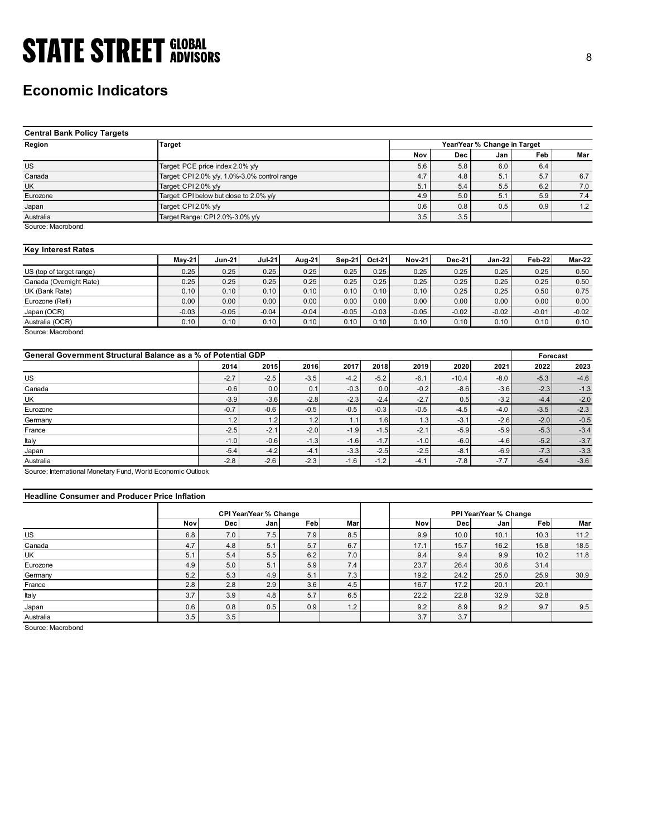## Economic Indicators

| <b>STATE STREET GLOBAL</b>                                    |                                                                 |               |               |         |         |         |               |               |                              |            |               |
|---------------------------------------------------------------|-----------------------------------------------------------------|---------------|---------------|---------|---------|---------|---------------|---------------|------------------------------|------------|---------------|
|                                                               |                                                                 |               |               |         |         |         |               |               |                              |            | 8             |
|                                                               |                                                                 |               |               |         |         |         |               |               |                              |            |               |
|                                                               |                                                                 |               |               |         |         |         |               |               |                              |            |               |
| <b>Economic Indicators</b>                                    |                                                                 |               |               |         |         |         |               |               |                              |            |               |
|                                                               |                                                                 |               |               |         |         |         |               |               |                              |            |               |
|                                                               |                                                                 |               |               |         |         |         |               |               |                              |            |               |
|                                                               |                                                                 |               |               |         |         |         |               |               |                              |            |               |
| <b>Central Bank Policy Targets</b>                            |                                                                 |               |               |         |         |         |               |               |                              |            |               |
| Region                                                        | <b>Target</b>                                                   |               |               |         |         |         |               |               | Year/Year % Change in Target |            |               |
|                                                               |                                                                 |               |               |         |         |         | Nov           | Dec           | Jan                          | Feb        | Mar           |
|                                                               |                                                                 |               |               |         |         |         |               |               |                              |            |               |
| $\overline{US}$                                               | Target: PCE price index 2.0% y/y                                |               |               |         |         |         | 5.6           | 5.8           | 6.0                          | 6.4        |               |
| Canada                                                        | Target: CPI 2.0% y/y, 1.0%-3.0% control range                   |               |               |         |         |         | 4.7           | 4.8           | 5.1                          | 5.7        | 6.7           |
| <b>UK</b><br>Eurozone                                         | Target: CPI 2.0% y/y<br>Target: CPI below but close to 2.0% y/y |               |               |         |         |         | 5.1<br>4.9    | 5.4<br>5.0    | 5.5<br>5.1                   | 6.2<br>5.9 | 7.0<br>7.4    |
|                                                               |                                                                 |               |               |         |         |         |               | 0.8           | 0.5                          | 0.9        |               |
| Japan                                                         | Target: CPI 2.0% y/y                                            |               |               |         |         |         | 0.6           |               |                              |            | 1.2           |
| Australia<br>Source: Macrobond                                | Target Range: CPI 2.0%-3.0% y/y                                 |               |               |         |         |         | 3.5           | 3.5           |                              |            |               |
|                                                               |                                                                 |               |               |         |         |         |               |               |                              |            |               |
|                                                               |                                                                 |               |               |         |         |         |               |               |                              |            |               |
| <b>Key Interest Rates</b>                                     |                                                                 |               |               |         |         |         |               |               |                              |            |               |
|                                                               | <b>May-21</b>                                                   | <b>Jun-21</b> | <b>Jul-21</b> | Aug-21  | Sep-21  | Oct-21  | <b>Nov-21</b> | <b>Dec-21</b> | Jan-22                       | Feb-22     | <b>Mar-22</b> |
| US (top of target range)                                      | 0.25                                                            | 0.25          | 0.25          | 0.25    | 0.25    | 0.25    | 0.25          | 0.25          | 0.25                         | 0.25       | 0.50          |
| Canada (Overnight Rate)                                       | 0.25                                                            | 0.25          | 0.25          | 0.25    | 0.25    | 0.25    | 0.25          | 0.25          | 0.25                         | 0.25       | 0.50          |
| $\overline{UK}$ (Bank Rate)                                   | 0.10                                                            | 0.10          | 0.10          | 0.10    | 0.10    | 0.10    | 0.10          | 0.25          | 0.25                         | 0.50       | 0.75          |
| Eurozone (Refi)                                               | 0.00                                                            | 0.00          | 0.00          | 0.00    | 0.00    | 0.00    | 0.00          | 0.00          | 0.00                         | 0.00       | 0.00          |
| Japan (OCR)                                                   | $-0.03$                                                         | $-0.05$       | $-0.04$       | $-0.04$ | $-0.05$ | $-0.03$ | $-0.05$       | $-0.02$       | $-0.02$                      | $-0.01$    | $-0.02$       |
| Australia (OCR)                                               | 0.10                                                            | 0.10          | 0.10          | 0.10    | 0.10    | 0.10    | 0.10          | 0.10          | 0.10                         | 0.10       | 0.10          |
| Source: Macrobond                                             |                                                                 |               |               |         |         |         |               |               |                              |            |               |
|                                                               |                                                                 |               |               |         |         |         |               |               |                              |            |               |
| General Government Structural Balance as a % of Potential GDP |                                                                 |               |               |         |         |         |               |               |                              | Forecast   |               |
|                                                               |                                                                 | 2014          | 2015          | 2016    | 2017    | 2018    | 2019          | 2020          | 2021                         | 2022       | 2023          |
| $US$                                                          |                                                                 | $-2.7$        | $-2.5$        | $-3.5$  | $-4.2$  | $-5.2$  | $-6.1$        | $-10.4$       | $-8.0$                       | $-5.3$     | $-4.6$        |
| Canada                                                        |                                                                 | $-0.6$        | 0.0           | 0.1     | $-0.3$  | $0.0\,$ | $-0.2$        | $-8.6$        | $-3.6$                       | $-2.3$     | $-1.3$        |
| UK                                                            |                                                                 | $-3.9$        | $-3.6$        | $-2.8$  | $-2.3$  | $-2.4$  | $-2.7$        | 0.5           | $-3.2$                       | $-4.4$     | $-2.0$        |
| Eurozone                                                      |                                                                 | $-0.7$        | $-0.6$        | $-0.5$  | $-0.5$  | $-0.3$  | $-0.5$        | $-4.5$        | $-4.0$                       | $-3.5$     | $-2.3$        |
| Germany                                                       |                                                                 | 1.2           | 1.2           | $1.2$   | 1.1     | 1.6     | 1.3           | $-3.1$        | $-2.6$                       | $-2.0$     | $-0.5$        |
| France                                                        |                                                                 | $-2.5$        | $-2.1$        | $-2.0$  | $-1.9$  | $-1.5$  | $-2.1$        | $-5.9$        | $-5.9$                       | $-5.3$     | $-3.4$        |
|                                                               |                                                                 | $-1.0$        | $-0.6$        | $-1.3$  | $-1.6$  | $-1.7$  | $-1.0$        | $-6.0$        | $-4.6$                       | $-5.2$     | $-3.7$        |
| Italy                                                         |                                                                 |               |               |         |         |         |               |               |                              |            |               |

### Key Interest Rates

|                          | <b>Mav-21</b> | <b>Jun-21</b> | <b>Jul-21</b> | Aug-21  | Sep-21  | Oct-21  | <b>Nov-21</b> | <b>Dec-21</b> | $Jan-22$ | <b>Feb-22</b> | Mar-22  |
|--------------------------|---------------|---------------|---------------|---------|---------|---------|---------------|---------------|----------|---------------|---------|
| US (top of target range) | 0.25          | 0.25          | 0.25          | 0.25    | 0.25    | 0.25    | 0.25          | 0.25          | 0.25     | 0.25          | 0.50    |
| Canada (Overnight Rate)  | 0.25          | 0.25          | 0.25          | 0.25    | 0.25    | 0.25    | 0.25          | 0.25          | 0.25     | 0.25          | 0.50    |
| UK (Bank Rate)           | 0.10          | 0.10          | 0.10          | 0.10    | 0.10    | 0.10    | 0.10          | 0.25          | 0.25     | 0.50          | 0.75    |
| Eurozone (Refi)          | 0.00          | 0.00          | 0.00          | 0.00    | 0.00    | 0.00    | 0.00          | 0.00          | 0.00     | 0.00          | 0.00    |
| Japan (OCR)              | $-0.03$       | $-0.05$       | $-0.04$       | $-0.04$ | $-0.05$ | $-0.03$ | $-0.05$       | $-0.02$       | $-0.02$  | $-0.01$       | $-0.02$ |
| Australia (OCR)          | 0.10          | 0.10          | 0.10          | 0.10    | 0.10    | 0.10    | 0.10          | 0.10          | 0.10     | 0.10          | 0.10    |

| <b>Central Bank Policy Targets</b>                            |                      |                                               |                               |         |          |         |               |               |                              |          |               |
|---------------------------------------------------------------|----------------------|-----------------------------------------------|-------------------------------|---------|----------|---------|---------------|---------------|------------------------------|----------|---------------|
| Region                                                        | <b>Target</b>        |                                               |                               |         |          |         |               |               | Year/Year % Change in Target |          |               |
|                                                               |                      |                                               |                               |         |          |         | Nov           | Dec           | Jan                          | Feb      | Mar           |
| <b>US</b>                                                     |                      | Target: PCE price index 2.0% y/y              |                               |         |          |         | 5.6           | 5.8           | 6.0                          | 6.4      |               |
| Canada                                                        |                      | Target: CPI 2.0% y/y, 1.0%-3.0% control range |                               |         |          |         | 4.7           | 4.8           | 5.1                          | 5.7      | 6.7           |
| UK                                                            | Target: CPI 2.0% y/y |                                               |                               |         |          |         | 5.1           | 5.4           | 5.5                          | 6.2      | $7.0\,$       |
| Eurozone                                                      |                      | Target: CPI below but close to 2.0% y/y       |                               |         |          |         | 4.9           | 5.0           | 5.1                          | 5.9      | 7.4           |
| Japan                                                         | Target: CPI 2.0% y/y |                                               |                               |         |          |         | 0.6           | 0.8           | 0.5                          | 0.9      | 1.2           |
| Australia                                                     |                      | Target Range: CPI 2.0%-3.0% y/y               |                               |         |          |         | 3.5           | 3.5           |                              |          |               |
| Source: Macrobond                                             |                      |                                               |                               |         |          |         |               |               |                              |          |               |
| <b>Key Interest Rates</b>                                     |                      |                                               |                               |         |          |         |               |               |                              |          |               |
|                                                               | May-21               | <b>Jun-21</b>                                 | Jul-21                        | Aug-21  | $Sep-21$ | Oct-21  | <b>Nov-21</b> | <b>Dec-21</b> | <b>Jan-22</b>                | Feb-22   | <b>Mar-22</b> |
| US (top of target range)                                      | 0.25                 | 0.25                                          | 0.25                          | 0.25    | 0.25     | 0.25    | 0.25          | 0.25          | 0.25                         | 0.25     | 0.50          |
| Canada (Overnight Rate)                                       | 0.25                 | 0.25                                          | 0.25                          | 0.25    | 0.25     | 0.25    | 0.25          | 0.25          | 0.25                         | 0.25     | 0.50          |
| UK (Bank Rate)                                                | 0.10                 | 0.10                                          | 0.10                          | 0.10    | 0.10     | 0.10    | 0.10          | 0.25          | 0.25                         | 0.50     | 0.75          |
| Eurozone (Refi)                                               | 0.00                 | 0.00                                          | 0.00                          | 0.00    | 0.00     | 0.00    | 0.00          | 0.00          | 0.00                         | 0.00     | 0.00          |
| Japan (OCR)                                                   | $-0.03$              | $-0.05$                                       | $-0.04$                       | $-0.04$ | $-0.05$  | $-0.03$ | $-0.05$       | $-0.02$       | $-0.02$                      | $-0.01$  | $-0.02$       |
| Australia (OCR)                                               | 0.10                 | 0.10                                          | 0.10                          | 0.10    | 0.10     | 0.10    | 0.10          | 0.10          | 0.10                         | 0.10     | 0.10          |
| Source: Macrobond                                             |                      |                                               |                               |         |          |         |               |               |                              |          |               |
| General Government Structural Balance as a % of Potential GDP |                      |                                               |                               |         |          |         |               |               |                              | Forecast |               |
|                                                               |                      | 2014                                          | 2015                          | 2016    | 2017     | 2018    | 2019          | 2020          | 2021                         | 2022     | 2023          |
| <b>US</b>                                                     |                      | $-2.7$                                        | $-2.5$                        | $-3.5$  | $-4.2$   | $-5.2$  | $-6.1$        | $-10.4$       | $-8.0$                       | $-5.3$   | $-4.6$        |
| Canada                                                        |                      | $-0.6$                                        | 0.0                           | 0.1     | $-0.3$   | 0.0     | $-0.2$        | $-8.6$        | $-3.6$                       | $-2.3$   | $-1.3$        |
| UK                                                            |                      | $-3.9$                                        | $-3.6$                        | $-2.8$  | $-2.3$   | $-2.4$  | $-2.7$        | 0.5           | $-3.2$                       | $-4.4$   | $-2.0$        |
| Eurozone                                                      |                      | $-0.7$                                        | $-0.6$                        | $-0.5$  | $-0.5$   | $-0.3$  | $-0.5$        | $-4.5$        | $-4.0$                       | $-3.5$   | $-2.3$        |
| Germany                                                       |                      | 1.2                                           | 1.2                           | 1.2     | 1.1      | 1.6     | 1.3           | $-3.1$        | $-2.6$                       | $-2.0$   | $-0.5$        |
| France                                                        |                      | $-2.5$                                        | $-2.1$                        | $-2.0$  | $-1.9$   | $-1.5$  | $-2.1$        | $-5.9$        | $-5.9$                       | $-5.3$   | $-3.4$        |
| Italy                                                         |                      | $-1.0$                                        | $-0.6$                        | $-1.3$  | $-1.6$   | $-1.7$  | $-1.0$        | $-6.0$        | $-4.6$                       | $-5.2$   | $-3.7$        |
|                                                               |                      | $-5.4$                                        | $-4.2$                        | $-4.1$  | $-3.3$   | $-2.5$  | $-2.5$        | $-8.1$        | $-6.9$                       | $-7.3$   | $-3.3$        |
| Japan<br>Australia                                            |                      | $-2.8$                                        | $-2.6$                        | $-2.3$  | $-1.6$   | $-1.2$  | $-4.1$        | $-7.8$        | $-7.7$                       | $-5.4$   | $-3.6$        |
| Source: International Monetary Fund, World Economic Outlook   |                      |                                               |                               |         |          |         |               |               |                              |          |               |
| <b>Headline Consumer and Producer Price Inflation</b>         |                      |                                               |                               |         |          |         |               |               |                              |          |               |
|                                                               |                      |                                               | <b>CPI Year/Year % Change</b> |         |          |         |               |               | PPI Year/Year % Change       |          |               |
|                                                               | Nov                  | <b>Dec</b>                                    | Jan                           | Feb     | Mar      |         | Nov           | Dec           | Jan                          | Feb      | Mar           |
| <b>US</b>                                                     | 6.8                  | 7.0                                           | 7.5                           | 7.9     | 8.5      |         | 9.9           | 10.0          | 10.1                         | 10.3     | 11.2          |
| Canada                                                        | 4.7                  | 4.8                                           | 5.1                           | 5.7     | 6.7      |         | 17.1          | 15.7          | 16.2                         | 15.8     | 18.5          |
| UK                                                            | 5.1                  | 5.4                                           | 5.5                           | 6.2     | 7.0      |         | 9.4           | 9.4           | 9.9                          | 10.2     | 11.8          |
| Eurozone                                                      | 4.9                  | 5.0                                           | 5.1                           | 5.9     | 7.4      |         | 23.7          | 26.4          | 30.6                         | 31.4     |               |
| Germany                                                       | 5.2                  | 5.3                                           | 4.9                           | 5.1     | 7.3      |         | 19.2          | 24.2          | 25.0                         | 25.9     | 30.9          |
| France                                                        | 2.8                  | 2.8                                           | 2.9                           | 3.6     | 4.5      |         | 16.7          | 17.2          | 20.1                         | 20.1     |               |
| Italy                                                         | 3.7                  | 3.9                                           | 4.8                           | 5.7     | 6.5      |         | 22.2          | 22.8          | 32.9                         | 32.8     |               |
|                                                               | 0.6                  | 0.8                                           | 0.5                           | 0.9     | 1.2      |         | 9.2           | 8.9           | 9.2                          | 9.7      |               |
| Japan                                                         |                      |                                               |                               |         |          |         |               |               |                              |          | 9.5           |

### Headline Consumer and Producer Price Inflation

| UK (Bank Rate)                                                                                            | 0.25       | 0.25       | 0.25                                 | 0.25       | 0.25       | 0.25    | 0.25        | 0.25        | 0.25                          | 0.25         | 0.50         |
|-----------------------------------------------------------------------------------------------------------|------------|------------|--------------------------------------|------------|------------|---------|-------------|-------------|-------------------------------|--------------|--------------|
|                                                                                                           | 0.10       | 0.10       | 0.10                                 | 0.10       | 0.10       | 0.10    | 0.10        | 0.25        | 0.25                          | 0.50         | 0.75         |
| Eurozone (Refi)                                                                                           | 0.00       | 0.00       | 0.00                                 | 0.00       | 0.00       | 0.00    | 0.00        | 0.00        | 0.00                          | 0.00         | 0.00         |
| Japan (OCR)                                                                                               | $-0.03$    | $-0.05$    | $-0.04$                              | $-0.04$    | $-0.05$    | $-0.03$ | $-0.05$     | $-0.02$     | $-0.02$                       | $-0.01$      | $-0.02$      |
| Australia (OCR)                                                                                           | 0.10       | 0.10       | 0.10                                 | 0.10       | 0.10       | 0.10    | 0.10        | 0.10        | 0.10                          | 0.10         | 0.10         |
| Source: Macrobond<br>General Government Structural Balance as a % of Potential GDP                        |            |            |                                      |            |            |         |             |             |                               | Forecast     |              |
|                                                                                                           |            | 2014       | 2015                                 | 2016       | 2017       | 2018    | 2019        | 2020        | 2021                          | 2022         | 2023         |
| US                                                                                                        |            | $-2.7$     | $-2.5$                               | $-3.5$     | $-4.2$     | $-5.2$  | $-6.1$      | $-10.4$     | $-8.0$                        | $-5.3$       | $-4.6$       |
| Canada                                                                                                    |            | $-0.6$     | 0.0                                  | 0.1        | $-0.3$     | 0.0     | $-0.2$      | $-8.6$      | $-3.6$                        | $-2.3$       | $-1.3$       |
| UK                                                                                                        |            | $-3.9$     | $-3.6$                               | $-2.8$     | $-2.3$     | $-2.4$  | $-2.7$      | 0.5         | $-3.2$                        | $-4.4$       | $-2.0$       |
| Eurozone                                                                                                  |            | $-0.7$     | $-0.6$                               | $-0.5$     | $-0.5$     | $-0.3$  | $-0.5$      | $-4.5$      | $-4.0$                        | $-3.5$       | $-2.3$       |
| Germany                                                                                                   |            | 1.2        | 1.2                                  | 1.2        | 1.1        | 1.6     | 1.3         | $-3.1$      | $-2.6$                        | $-2.0$       | $-0.5$       |
| France                                                                                                    |            | $-2.5$     | $-2.1$                               | $-2.0$     | $-1.9$     | $-1.5$  | $-2.1$      | $-5.9$      | $-5.9$                        | $-5.3$       | $-3.4$       |
| Italy                                                                                                     |            | $-1.0$     | $-0.6$                               | $-1.3$     | $-1.6$     | $-1.7$  | $-1.0$      | $-6.0$      | $-4.6$                        | $-5.2$       | $-3.7$       |
|                                                                                                           |            | $-5.4$     | $-4.2$                               | $-4.1$     | $-3.3$     | $-2.5$  | $-2.5$      | $-8.1$      | $-6.9$                        | $-7.3$       | $-3.3$       |
| Japan                                                                                                     |            |            |                                      |            |            |         |             |             |                               |              |              |
|                                                                                                           |            | $-2.8$     | $-2.6$                               | $-2.3$     | $-1.6$     | $-1.2$  | $-4.1$      | $-7.8$      | $-7.7$                        | $-5.4$       | $-3.6$       |
| <b>Headline Consumer and Producer Price Inflation</b>                                                     |            |            |                                      |            |            |         |             |             |                               |              |              |
|                                                                                                           | Nov        | Dec        | <b>CPI Year/Year % Change</b><br>Jan |            | Mar        |         | Nov         | Dec         | PPI Year/Year % Change<br>Jan | Feb          | Mar          |
|                                                                                                           | 6.8        |            | 7.5                                  | Feb        | 8.5        |         |             | 10.0        | 10.1                          | 10.3         | 11.2         |
|                                                                                                           |            | 7.0        |                                      | 7.9        |            |         | 9.9         |             | 16.2                          |              |              |
| Canada                                                                                                    | 4.7<br>5.1 | 4.8<br>5.4 | 5.1<br>5.5                           | 5.7<br>6.2 | 6.7<br>7.0 |         | 17.1<br>9.4 | 15.7<br>9.4 | 9.9                           | 15.8<br>10.2 | 18.5<br>11.8 |
| Eurozone                                                                                                  | 4.9        | 5.0        | 5.1                                  | 5.9        | 7.4        |         | 23.7        | 26.4        | 30.6                          | 31.4         |              |
|                                                                                                           | 5.2        | 5.3        | 4.9                                  | 5.1        | 7.3        |         | 19.2        | 24.2        | 25.0                          | 25.9         | 30.9         |
| Australia<br>Source: International Monetary Fund, World Economic Outlook<br>US<br>UK<br>Germany<br>France | 2.8        | 2.8        | 2.9                                  | 3.6        | 4.5        |         | 16.7        | 17.2        | 20.1                          | 20.1         |              |
| Italy                                                                                                     | 3.7        | 3.9        | 4.8                                  | 5.7        | 6.5        |         | 22.2        | 22.8        | 32.9                          | 32.8         |              |
| Japan                                                                                                     | 0.6        | 0.8        | 0.5                                  | 0.9        | 1.2        |         | 9.2         | 8.9         | 9.2                           | 9.7          | 9.5          |
| Australia                                                                                                 | 3.5        | 3.5        |                                      |            |            |         | 3.7         | 3.7         |                               |              |              |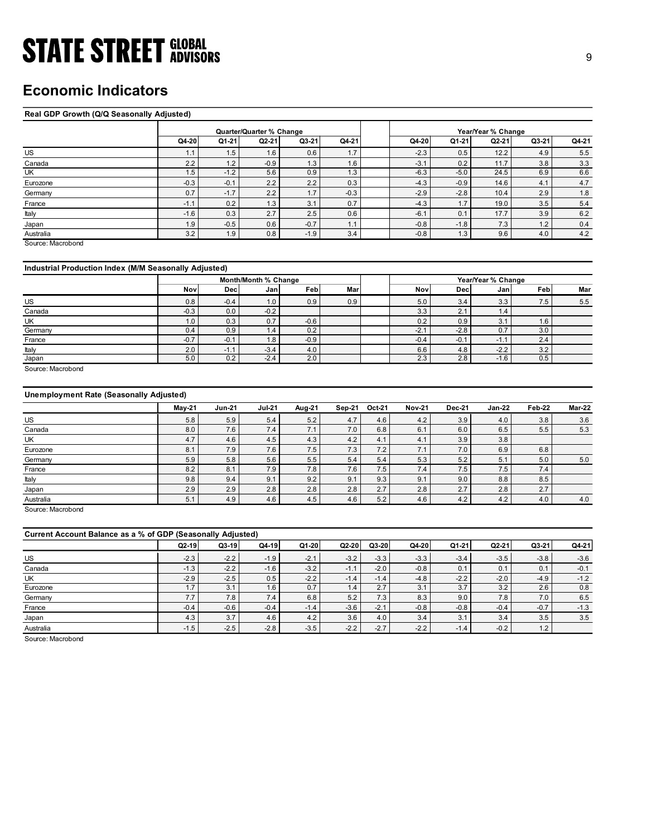## Economic Indicators

### Real GDP Growth (Q/Q Seasonally Adjusted)

| <b>STATE STREET GLOBAL</b>                            |               |                |                                     |               |            |                            |                  |                             |            |               |
|-------------------------------------------------------|---------------|----------------|-------------------------------------|---------------|------------|----------------------------|------------------|-----------------------------|------------|---------------|
|                                                       |               |                |                                     |               |            |                            |                  |                             |            | $9\,$         |
|                                                       |               |                |                                     |               |            |                            |                  |                             |            |               |
|                                                       |               |                |                                     |               |            |                            |                  |                             |            |               |
| <b>Economic Indicators</b>                            |               |                |                                     |               |            |                            |                  |                             |            |               |
|                                                       |               |                |                                     |               |            |                            |                  |                             |            |               |
| Real GDP Growth (Q/Q Seasonally Adjusted)             |               |                |                                     |               |            |                            |                  |                             |            |               |
|                                                       |               |                |                                     |               |            |                            |                  |                             |            |               |
|                                                       | Q4-20         | Q1-21          | Quarter/Quarter % Change<br>$Q2-21$ | Q3-21         | Q4-21      | Q4-20                      | Q1-21            | Year/Year % Change<br>Q2-21 | Q3-21      | Q4-21         |
| <b>US</b>                                             | 1.1           | 1.5            | 1.6                                 | 0.6           | 1.7        | $-2.3$                     | 0.5              | 12.2                        | 4.9        | 5.5           |
| Canada                                                | 2.2           | 1.2            | $-0.9$                              | 1.3           | 1.6        | $-3.1$                     | 0.2              | 11.7                        | 3.8        | 3.3           |
| $\overline{\mathsf{c}}$                               | 1.5           | $-1.2$         | 5.6                                 | 0.9           | 1.3        | $-6.3$                     | $-5.0$           | 24.5                        | 6.9        | 6.6           |
| Eurozone                                              | $-0.3$        | $-0.1$         | 2.2                                 | 2.2           | 0.3        | $-4.3$                     | $-0.9$           | 14.6                        | 4.1        | $4.7\,$       |
| Germany                                               | 0.7           | $-1.7$         | 2.2                                 | 1.7           | $-0.3$     | $-2.9$                     | $-2.8$           | 10.4                        | 2.9        | $1.8$         |
| France                                                | $-1.1$        | 0.2            | 1.3                                 | 3.1           | 0.7        | $-4.3$                     | 1.7              | 19.0                        | 3.5        | $5.4\,$       |
| Italy                                                 | $-1.6$        | 0.3            | 2.7                                 | 2.5           | 0.6        | $-6.1$                     | 0.1              | 17.7                        | 3.9        | $6.2\,$       |
| Japan                                                 | 1.9           | $-0.5$         | 0.6                                 | $-0.7$        | 1.1        | $-0.8$                     | $-1.8$           | 7.3                         | 1.2        | $0.4\,$       |
| Australia                                             | 3.2           | 1.9            | 0.8                                 | $-1.9$        | 3.4        | $-0.8$                     | 1.3              | 9.6                         | 4.0        | 4.2           |
| Source: Macrobond                                     |               |                |                                     |               |            |                            |                  |                             |            |               |
|                                                       |               |                |                                     |               |            |                            |                  |                             |            |               |
| Industrial Production Index (M/M Seasonally Adjusted) |               |                |                                     |               |            |                            |                  |                             |            |               |
|                                                       |               |                | Month/Month % Change                |               |            |                            |                  | Year/Year % Change          |            |               |
|                                                       | Nov           | Dec            | Jan                                 | Feb           | Mar        | Nov                        | Dec              | Jan                         | Feb        | Mar           |
| <b>US</b>                                             | 0.8           | $-0.4$         | 1.0                                 | 0.9           | 0.9        | 5.0                        | 3.4              | 3.3                         | 7.5        | 5.5           |
| Canada                                                | $-0.3$        | 0.0            | $-0.2$                              |               |            | 3.3                        | 2.1              | 1.4                         |            |               |
| UK                                                    | 1.0           | 0.3            | 0.7                                 | $-0.6$        |            | 0.2                        | 0.9              | 3.1                         | 1.6        |               |
| Germany<br>France                                     | 0.4<br>$-0.7$ | 0.9<br>$-0.1$  | 1.4<br>1.8                          | 0.2<br>$-0.9$ |            | $-2.1$<br>$-0.4$           | $-2.8$<br>$-0.1$ | 0.7<br>$-1.1$               | 3.0<br>2.4 |               |
| Italy                                                 | 2.0           | $-1.1$         | $-3.4$                              | 4.0           |            | $6.6\,$                    | 4.8              | $-2.2$                      | 3.2        |               |
| Japan                                                 | 5.0           | 0.2            | $-2.4$                              | 2.0           |            | 2.3                        | 2.8              | $-1.6$                      | 0.5        |               |
| Source: Macrobond                                     |               |                |                                     |               |            |                            |                  |                             |            |               |
|                                                       |               |                |                                     |               |            |                            |                  |                             |            |               |
| Unemployment Rate (Seasonally Adjusted)               |               |                |                                     |               |            |                            |                  |                             |            |               |
|                                                       |               |                |                                     |               |            |                            |                  |                             |            |               |
|                                                       | <b>May-21</b> | <b>Jun-21</b>  | <b>Jul-21</b>                       | <b>Aug-21</b> | Sep-21     | Oct-21<br><b>Nov-21</b>    | Dec-21           | $Jan-22$                    | Feb-22     | <b>Mar-22</b> |
|                                                       |               | $5.9\,$        | $5.4$                               | $5.2\,$       | 4.7        | $4.2\,$<br>4.6             | 3.9              | $4.0\,$                     | $3.8\,$    | 3.6           |
| US                                                    | 5.8           | 7.6            | 7.4                                 | 7.1           | 7.0        | 6.8<br>6.1                 | 6.0              | 6.5                         | $5.5$      | 5.3           |
| Canada                                                | 8.0           |                |                                     |               |            |                            |                  |                             |            |               |
| UK                                                    | 4.7           | 4.6            | 4.5                                 | 4.3           | 4.2        | 4.1<br>4.1                 | 3.9              | 3.8                         |            |               |
| Eurozone                                              | 8.1           | 7.9            | 7.6                                 | 7.5           | 7.3        | 7.2<br>7.1                 | 7.0              | 6.9                         | $6.8\,$    |               |
| Germany<br>France                                     | 5.9<br>8.2    | $5.8\,$<br>8.1 | $5.6\,$                             | $5.5\,$       | 5.4<br>7.6 | $5.4$<br>5.3<br>7.5<br>7.4 | $5.2\,$<br>7.5   | 5.1                         | 5.0<br>7.4 | 5.0           |
| Italy                                                 | $9.8\,$       | 9.4            | 7.9<br>9.1                          | 7.8<br>9.2    | 9.1        | 9.3<br>9.1                 | $9.0\,$          | 7.5<br>$8.8\,$              | $8.5\,$    |               |

### Industrial Production Index (M/M Seasonally Adjusted)

|         |        |            | Month/Month % Change |        |     |        |        | Year/Year % Change            |     |     |
|---------|--------|------------|----------------------|--------|-----|--------|--------|-------------------------------|-----|-----|
|         | Nov    | <b>Dec</b> | Janl                 | Feb    | Mar | Nov    | Decl   | Janl                          | Feb | Mar |
| US      | 0.8    | $-0.4$     | 1.0                  | 0.9    | 0.9 | 5.0    | 3.4    | 3.3                           | 7.5 | 5.5 |
| Canada  | $-0.3$ | 0.0        | $-0.2$               |        |     | 3.3    | 2.1    | $\mathsf{I} \cdot \mathsf{A}$ |     |     |
| UK      | 1.0    | 0.3        | 0.7                  | $-0.6$ |     | 0.2    | 0.9    | $\sim$<br>ა.                  | 1.6 |     |
| Germany | 0.4    | 0.9        | 1.4                  | 0.2    |     | $-2.1$ | $-2.8$ | 0.7                           | 3.0 |     |
| France  | $-0.7$ | $-0.1$     | 1.8                  | $-0.9$ |     | $-0.4$ | $-0.1$ | $-1.1$                        | 2.4 |     |
| Italy   | 2.0    | $-1.1$     | $-3.4$               | 4.0    |     | 6.6    | 4.8    | $-2.2$                        | 3.2 |     |
| Japan   | 5.0    | 0.2        | $-2.4$               | 2.0    |     | 2.3    | 2.8    | $-1.6$                        | 0.5 |     |

### Unemployment Rate (Seasonally Adjusted)

| US                                                          | 1.1    | 1.5           | 1.6                  | 0.6    | 1.7    |         | $-2.3$        | 0.5           | 12.2               | 4.9    | 5.5     |
|-------------------------------------------------------------|--------|---------------|----------------------|--------|--------|---------|---------------|---------------|--------------------|--------|---------|
| Canada                                                      | 2.2    | 1.2           | $-0.9$               | 1.3    | 1.6    |         | $-3.1$        | 0.2           | 11.7               | 3.8    | 3.3     |
| UK                                                          | 1.5    | $-1.2$        | 5.6                  | 0.9    | 1.3    |         | $-6.3$        | $-5.0$        | 24.5               | 6.9    | 6.6     |
| Eurozone                                                    | $-0.3$ | $-0.1$        | 2.2                  | 2.2    | 0.3    |         | $-4.3$        | $-0.9$        | 14.6               | 4.1    | 4.7     |
| Germany                                                     | 0.7    | $-1.7$        | 2.2                  | 1.7    | $-0.3$ |         | $-2.9$        | $-2.8$        | 10.4               | 2.9    | 1.8     |
| France                                                      | $-1.1$ | 0.2           | 1.3                  | 3.1    | 0.7    |         | $-4.3$        | 1.7           | 19.0               | 3.5    | $5.4$   |
| Italy                                                       | $-1.6$ | 0.3           | 2.7                  | 2.5    | 0.6    |         | $-6.1$        | 0.1           | 17.7               | 3.9    | 6.2     |
| Japan                                                       | 1.9    | $-0.5$        | 0.6                  | $-0.7$ | 1.1    |         | $-0.8$        | $-1.8$        | 7.3                | 1.2    | 0.4     |
|                                                             | 3.2    | 1.9           | 0.8                  | $-1.9$ | 3.4    |         | $-0.8$        | 1.3           | 9.6                | 4.0    | $4.2\,$ |
| Australia<br>Source: Macrobond                              |        |               |                      |        |        |         |               |               |                    |        |         |
| Industrial Production Index (M/M Seasonally Adjusted)       |        |               |                      |        |        |         |               |               |                    |        |         |
|                                                             |        |               | Month/Month % Change |        |        |         |               |               | Year/Year % Change |        |         |
|                                                             | Nov    | Dec           | Jan                  | Feb    | Mar    |         | Nov           | Dec           | Jan                | Feb    | Mar     |
|                                                             |        |               |                      |        |        |         |               |               |                    |        |         |
| US<br>Canada                                                | 0.8    | $-0.4$<br>0.0 | 1.0                  | 0.9    | 0.9    |         | 5.0           | 3.4<br>2.1    | 3.3<br>1.4         | 7.5    | 5.5     |
|                                                             | $-0.3$ |               | $-0.2$               |        |        |         | 3.3           |               |                    |        |         |
| UK                                                          | 1.0    | 0.3           | 0.7                  | $-0.6$ |        |         | 0.2           | 0.9           | 3.1                | 1.6    |         |
| Germany                                                     | 0.4    | 0.9           | 1.4                  | 0.2    |        |         | $-2.1$        | $-2.8$        | $0.7\,$            | 3.0    |         |
| France                                                      | $-0.7$ | $-0.1$        | 1.8                  | $-0.9$ |        |         | $-0.4$        | $-0.1$        | $-1.1$             | 2.4    |         |
| Italy                                                       | 2.0    | $-1.1$        | $-3.4$               | 4.0    |        |         | 6.6           | 4.8           | $-2.2$             | 3.2    |         |
| Japan<br>Source: Macrobond                                  | 5.0    | 0.2           | $-2.4$               | 2.0    |        |         | 2.3           | 2.8           | $-1.6$             | 0.5    |         |
| <b>Unemployment Rate (Seasonally Adjusted)</b>              |        | <b>Jun-21</b> | <b>Jul-21</b>        | Aug-21 | Sep-21 | Oct-21  | <b>Nov-21</b> | <b>Dec-21</b> | <b>Jan-22</b>      | Feb-22 | Mar-22  |
|                                                             | May-21 |               |                      |        |        |         |               |               |                    |        |         |
| <b>US</b>                                                   | 5.8    | 5.9           | 5.4                  | 5.2    | 4.7    | 4.6     | 4.2           | 3.9           | 4.0                | 3.8    | 3.6     |
| Canada                                                      | 8.0    | 7.6           | 7.4                  | 7.1    | 7.0    | 6.8     | 6.1           | 6.0           | 6.5                | 5.5    | 5.3     |
| UK                                                          | 4.7    | 4.6           | 4.5                  | 4.3    | 4.2    | 4.1     | 4.1           | 3.9           | 3.8                |        |         |
| Eurozone                                                    | 8.1    | 7.9           | 7.6                  | 7.5    | 7.3    | 7.2     | 7.1           | 7.0           | 6.9                | 6.8    |         |
| Germany                                                     | 5.9    | 5.8           | 5.6                  | 5.5    | 5.4    | 5.4     | 5.3           | 5.2           | 5.1                | 5.0    | 5.0     |
| France                                                      | 8.2    | 8.1           | 7.9                  | 7.8    | 7.6    | 7.5     | 7.4           | 7.5           | 7.5                | 7.4    |         |
| Italy                                                       | 9.8    | 9.4           | 9.1                  | 9.2    | 9.1    | 9.3     | 9.1           | 9.0           | 8.8                | 8.5    |         |
| Japan                                                       | 2.9    | 2.9           | 2.8                  | 2.8    | 2.8    | 2.7     | 2.8           | 2.7           | 2.8                | 2.7    |         |
| Australia                                                   | 5.1    | 4.9           | 4.6                  | 4.5    | 4.6    | 5.2     | 4.6           | 4.2           | 4.2                | 4.0    | 4.0     |
| Source: Macrobond                                           |        |               |                      |        |        |         |               |               |                    |        |         |
|                                                             |        |               |                      |        |        |         |               |               |                    |        |         |
| Current Account Balance as a % of GDP (Seasonally Adjusted) |        |               |                      |        |        |         |               |               |                    |        |         |
|                                                             | Q2-19  | Q3-19         | Q4-19                | Q1-20  | Q2-20  | $Q3-20$ | Q4-20         | Q1-21         | Q2-21              | Q3-21  | Q4-21   |
| US                                                          | $-2.3$ | $-2.2$        | $-1.9$               | $-2.1$ | $-3.2$ | $-3.3$  | $-3.3$        | $-3.4$        | $-3.5$             | $-3.8$ | $-3.6$  |
| Canada                                                      | $-1.3$ | $-2.2$        | $-1.6$               | $-3.2$ | $-1.1$ | $-2.0$  | $-0.8$        | 0.1           | 0.1                | 0.1    | $-0.1$  |
| UK                                                          | $-2.9$ | $-2.5$        | 0.5                  | $-2.2$ | $-1.4$ | $-1.4$  | $-4.8$        | $-2.2$        | $-2.0$             | $-4.9$ | $-1.2$  |
| Eurozone                                                    | 1.7    | 3.1           | 1.6                  | 0.7    | 1.4    | 2.7     | 3.1           | 3.7           | 3.2                | 2.6    | 0.8     |
| Germany                                                     | 7.7    | 7.8           | 7.4                  | 6.8    | 5.2    | 7.3     | 8.3           | 9.0           | 7.8                | 7.0    | 6.5     |
| France                                                      | $-0.4$ | $-0.6$        | $-0.4$               | $-1.4$ | $-3.6$ | $-2.1$  | $-0.8$        | $-0.8$        | $-0.4$             | $-0.7$ | $-1.3$  |
| Japan                                                       | 4.3    | 3.7           | 4.6                  | 4.2    | 3.6    | 4.0     | 3.4           | 3.1           | 3.4                | 3.5    | $3.5\,$ |
|                                                             |        |               |                      |        |        |         |               |               |                    |        |         |

|                                                                                                                                                     | 0.8           | $-0.4$        | 1.0           | 0.9           | 0.9           |               | 5.0           | 3.4           | 3.3           | 7.5             |               |
|-----------------------------------------------------------------------------------------------------------------------------------------------------|---------------|---------------|---------------|---------------|---------------|---------------|---------------|---------------|---------------|-----------------|---------------|
| US                                                                                                                                                  |               |               |               |               |               |               |               |               |               |                 | 5.5           |
| Canada                                                                                                                                              | $-0.3$        | 0.0           | $-0.2$        |               |               |               | 3.3           | 2.1           | $1.4$         |                 |               |
| UK                                                                                                                                                  | 1.0           | 0.3           | 0.7           | $-0.6$        |               |               | 0.2           | 0.9           | 3.1           | 1.6             |               |
| Germany                                                                                                                                             | 0.4           | 0.9           | 1.4           | 0.2           |               |               | $-2.1$        | $-2.8$        | 0.7           | 3.0             |               |
| France                                                                                                                                              | $-0.7$        | $-0.1$        | 1.8           | $-0.9$        |               |               | $-0.4$        | $-0.1$        | $-1.1$        | 2.4             |               |
| Italy                                                                                                                                               | 2.0           | $-1.1$        | $-3.4$        | 4.0           |               |               | 6.6           | 4.8           | $-2.2$        | 3.2             |               |
| Japan                                                                                                                                               | 5.0           | 0.2           | $-2.4$        | 2.0           |               |               | 2.3           | 2.8           | $-1.6$        | 0.5             |               |
| Source: Macrobond                                                                                                                                   |               |               |               |               |               |               |               |               |               |                 |               |
| <b>Unemployment Rate (Seasonally Adjusted)</b>                                                                                                      |               |               |               |               |               |               |               |               |               |                 |               |
|                                                                                                                                                     | $May-21$      | <b>Jun-21</b> | <b>Jul-21</b> | <b>Aug-21</b> | <b>Sep-21</b> | Oct-21        | <b>Nov-21</b> | <b>Dec-21</b> | $Jan-22$      | Feb-22          | <b>Mar-22</b> |
| US                                                                                                                                                  | 5.8           | 5.9           | 5.4           | 5.2           | 4.7           | 4.6           | 4.2           | 3.9           | 4.0           | 3.8             | 3.6           |
| Canada                                                                                                                                              | 8.0           | 7.6           | 7.4           | 7.1           | $7.0\,$       | 6.8           | 6.1           | $6.0\,$       | 6.5           | 5.5             | 5.3           |
| UK                                                                                                                                                  | 4.7           | 4.6           | 4.5           | $4.3\,$       | 4.2           | 4.1           | 4.1           | 3.9           | 3.8           |                 |               |
| Eurozone                                                                                                                                            | 8.1           | 7.9           | 7.6           | $7.5\,$       | 7.3           | 7.2           | 7.1           | $7.0\,$       | 6.9           | 6.8             |               |
| Germany                                                                                                                                             | 5.9           | 5.8           | 5.6           | $5.5\,$       | 5.4           | 5.4           | 5.3           | $5.2\,$       | 5.1           | $5.0\,$         | $5.0\,$       |
| France                                                                                                                                              | 8.2           | 8.1           | 7.9           | 7.8           | 7.6           | 7.5           | 7.4           | 7.5           | 7.5           | 7.4             |               |
|                                                                                                                                                     |               |               |               |               |               |               |               |               |               |                 |               |
|                                                                                                                                                     | 9.8           | 9.4           | 9.1           | 9.2           | 9.1           | 9.3           | 9.1           | 9.0           | 8.8           | 8.5             |               |
|                                                                                                                                                     |               |               |               |               |               |               |               |               |               |                 |               |
|                                                                                                                                                     | 2.9<br>5.1    | 2.9<br>4.9    | 2.8<br>4.6    | 2.8<br>4.5    | 2.8<br>4.6    | 2.7<br>5.2    | 2.8<br>4.6    | 2.7<br>4.2    | 2.8<br>4.2    | 2.7<br>4.0      | $4.0$         |
|                                                                                                                                                     |               |               |               |               |               |               |               |               |               |                 |               |
|                                                                                                                                                     | $Q2-19$       | $Q3-19$       | $Q4-19$       | $Q1-20$       | Q2-20         | $Q3-20$       |               | Q1-21         | Q2-21         | Q3-21           |               |
|                                                                                                                                                     |               |               |               |               |               |               | Q4-20         |               |               |                 | Q4-21         |
|                                                                                                                                                     | $-2.3$        | $-2.2$        | $-1.9$        | $-2.1$        | $-3.2$        | $-3.3$        | $-3.3$        | $-3.4$        | $-3.5$        | $-3.8$          | $-3.6$        |
|                                                                                                                                                     | $-1.3$        | $-2.2$        | $-1.6$        | $-3.2$        | $-1.1$        | $-2.0$        | $-0.8$        | 0.1           | 0.1           | 0.1             | $-0.1$        |
| Italy<br>Japan<br>Australia<br>Source: Macrobond<br>Current Account Balance as a % of GDP (Seasonally Adjusted)<br>$US$<br>Canada<br>UK<br>Eurozone | $-2.9$<br>1.7 | $-2.5$<br>3.1 | 0.5<br>1.6    | $-2.2$<br>0.7 | $-1.4$<br>1.4 | $-1.4$<br>2.7 | $-4.8$<br>3.1 | $-2.2$        | $-2.0$<br>3.2 | $-4.9$          | $-1.2$        |
|                                                                                                                                                     | 7.7           | 7.8           | 7.4           |               | 5.2           | 7.3           | 8.3           | 3.7<br>9.0    |               | 2.6             | 0.8           |
| Germany<br>France                                                                                                                                   | $-0.4$        | $-0.6$        | $-0.4$        | 6.8<br>$-1.4$ | $-3.6$        | $-2.1$        | $-0.8$        | $-0.8$        | 7.8<br>$-0.4$ | $7.0$<br>$-0.7$ | 6.5<br>$-1.3$ |
|                                                                                                                                                     | 4.3           | 3.7           | 4.6           | 4.2           | 3.6           | 4.0           | 3.4           | 3.1           | 3.4           | 3.5             | 3.5           |
| Japan<br>Australia                                                                                                                                  | $-1.5$        | $-2.5$        | $-2.8$        | $-3.5$        | $-2.2$        | $-2.7$        | $-2.2$        | $-1.4$        | $-0.2$        | 1.2             |               |